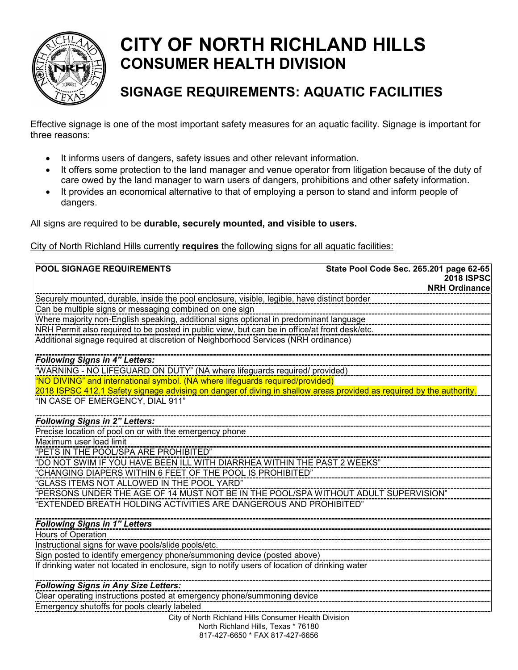

## **CITY OF NORTH RICHLAND HILLS CONSUMER HEALTH DIVISION**

## **SIGNAGE REQUIREMENTS: AQUATIC FACILITIES**

Effective signage is one of the most important safety measures for an aquatic facility. Signage is important for three reasons:

- It informs users of dangers, safety issues and other relevant information.
- It offers some protection to the land manager and venue operator from litigation because of the duty of care owed by the land manager to warn users of dangers, prohibitions and other safety information.
- It provides an economical alternative to that of employing a person to stand and inform people of dangers.

All signs are required to be **durable, securely mounted, and visible to users.** 

## City of North Richland Hills currently **requires** the following signs for all aquatic facilities:

| <b>POOL SIGNAGE REQUIREMENTS</b>                                                                                                            | State Pool Code Sec. 265.201 page 62-65 |  |
|---------------------------------------------------------------------------------------------------------------------------------------------|-----------------------------------------|--|
|                                                                                                                                             | <b>2018 ISPSC</b>                       |  |
|                                                                                                                                             | <b>NRH Ordinance</b>                    |  |
| Securely mounted, durable, inside the pool enclosure, visible, legible, have distinct border                                                |                                         |  |
| Can be multiple signs or messaging combined on one sign                                                                                     |                                         |  |
| Where majority non-English speaking, additional signs optional in predominant language                                                      |                                         |  |
| NRH Permit also required to be posted in public view, but can be in office/at front desk/etc.                                               |                                         |  |
| Additional signage required at discretion of Neighborhood Services (NRH ordinance)                                                          |                                         |  |
| <b>Following Signs in 4" Letters:</b>                                                                                                       |                                         |  |
| "WARNING - NO LIFEGUARD ON DUTY" (NA where lifeguards required/ provided)                                                                   |                                         |  |
| "NO DIVING" and international symbol. (NA where lifeguards required/provided)                                                               |                                         |  |
| 2018 ISPSC 412.1 Safety signage advising on danger of diving in shallow areas provided as required by the authority.                        |                                         |  |
| "IN CASE OF EMERGENCY, DIAL 911"                                                                                                            |                                         |  |
| <b>Following Signs in 2" Letters:</b>                                                                                                       |                                         |  |
| Precise location of pool on or with the emergency phone                                                                                     |                                         |  |
| Maximum user load limit                                                                                                                     |                                         |  |
| "PETS IN THE POOL/SPA ARE PROHIBITED"                                                                                                       |                                         |  |
| "DO NOT SWIM IF YOU HAVE BEEN ILL WITH DIARRHEA WITHIN THE PAST 2 WEEKS"                                                                    |                                         |  |
| "CHANGING DIAPERS WITHIN 6 FEET OF THE POOL IS PROHIBITED"                                                                                  |                                         |  |
| "GLASS ITEMS NOT ALLOWED IN THE POOL YARD"                                                                                                  |                                         |  |
| "PERSONS UNDER THE AGE OF 14 MUST NOT BE IN THE POOL/SPA WITHOUT ADULT SUPERVISION"                                                         |                                         |  |
| EXTENDED BREATH HOLDING ACTIVITIES ARE DANGEROUS AND PROHIBITED"                                                                            |                                         |  |
| <b>Following Signs in 1" Letters</b>                                                                                                        |                                         |  |
| Hours of Operation                                                                                                                          |                                         |  |
| Instructional signs for wave pools/slide pools/etc.                                                                                         |                                         |  |
| Sign posted to identify emergency phone/summoning device (posted above)                                                                     |                                         |  |
| If drinking water not located in enclosure, sign to notify users of location of drinking water                                              |                                         |  |
|                                                                                                                                             |                                         |  |
|                                                                                                                                             |                                         |  |
| Emergency shutoffs for pools clearly labeled                                                                                                |                                         |  |
|                                                                                                                                             |                                         |  |
| 817-427-6650 * FAX 817-427-6656                                                                                                             |                                         |  |
| <b>Following Signs in Any Size Letters:</b><br>City of North Richland Hills Consumer Health Division<br>North Richland Hills, Texas * 76180 |                                         |  |